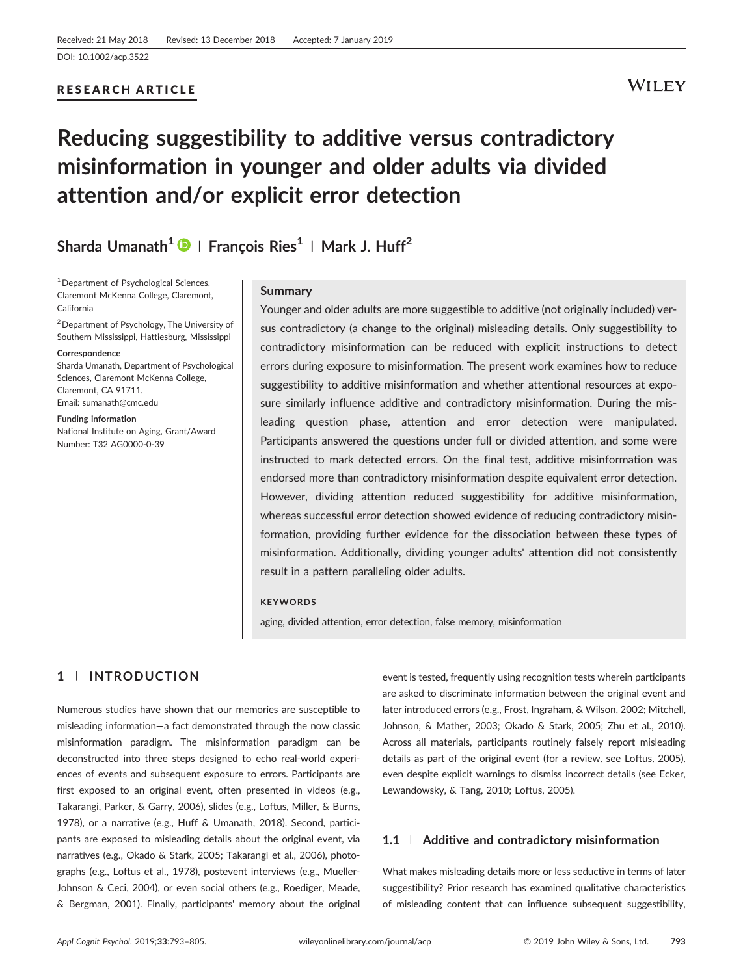# RESEARCH ARTICLE

# **WILEY**

# Reducing suggestibility to additive versus contradictory misinformation in younger and older adults via divided attention and/or explicit error detection

Sharda Umanath<sup>1</sup> **D** | François Ries<sup>1</sup> | Mark J. Huff<sup>2</sup>

1Department of Psychological Sciences, Claremont McKenna College, Claremont, California

2Department of Psychology, The University of Southern Mississippi, Hattiesburg, Mississippi

#### **Correspondence**

Sharda Umanath, Department of Psychological Sciences, Claremont McKenna College, Claremont, CA 91711. Email: [sumanath@cmc.edu](mailto:sumanath@cmc.edu)

Funding information National Institute on Aging, Grant/Award Number: T32 AG0000‐0‐39

## Summary

Younger and older adults are more suggestible to additive (not originally included) versus contradictory (a change to the original) misleading details. Only suggestibility to contradictory misinformation can be reduced with explicit instructions to detect errors during exposure to misinformation. The present work examines how to reduce suggestibility to additive misinformation and whether attentional resources at exposure similarly influence additive and contradictory misinformation. During the misleading question phase, attention and error detection were manipulated. Participants answered the questions under full or divided attention, and some were instructed to mark detected errors. On the final test, additive misinformation was endorsed more than contradictory misinformation despite equivalent error detection. However, dividing attention reduced suggestibility for additive misinformation, whereas successful error detection showed evidence of reducing contradictory misinformation, providing further evidence for the dissociation between these types of misinformation. Additionally, dividing younger adults' attention did not consistently result in a pattern paralleling older adults.

### **KEYWORDS**

aging, divided attention, error detection, false memory, misinformation

# 1 | INTRODUCTION

Numerous studies have shown that our memories are susceptible to misleading information—a fact demonstrated through the now classic misinformation paradigm. The misinformation paradigm can be deconstructed into three steps designed to echo real‐world experiences of events and subsequent exposure to errors. Participants are first exposed to an original event, often presented in videos (e.g., Takarangi, Parker, & Garry, 2006), slides (e.g., Loftus, Miller, & Burns, 1978), or a narrative (e.g., Huff & Umanath, 2018). Second, participants are exposed to misleading details about the original event, via narratives (e.g., Okado & Stark, 2005; Takarangi et al., 2006), photographs (e.g., Loftus et al., 1978), postevent interviews (e.g., Mueller‐ Johnson & Ceci, 2004), or even social others (e.g., Roediger, Meade, & Bergman, 2001). Finally, participants' memory about the original event is tested, frequently using recognition tests wherein participants are asked to discriminate information between the original event and later introduced errors (e.g., Frost, Ingraham, & Wilson, 2002; Mitchell, Johnson, & Mather, 2003; Okado & Stark, 2005; Zhu et al., 2010). Across all materials, participants routinely falsely report misleading details as part of the original event (for a review, see Loftus, 2005), even despite explicit warnings to dismiss incorrect details (see Ecker, Lewandowsky, & Tang, 2010; Loftus, 2005).

# 1.1 | Additive and contradictory misinformation

What makes misleading details more or less seductive in terms of later suggestibility? Prior research has examined qualitative characteristics of misleading content that can influence subsequent suggestibility,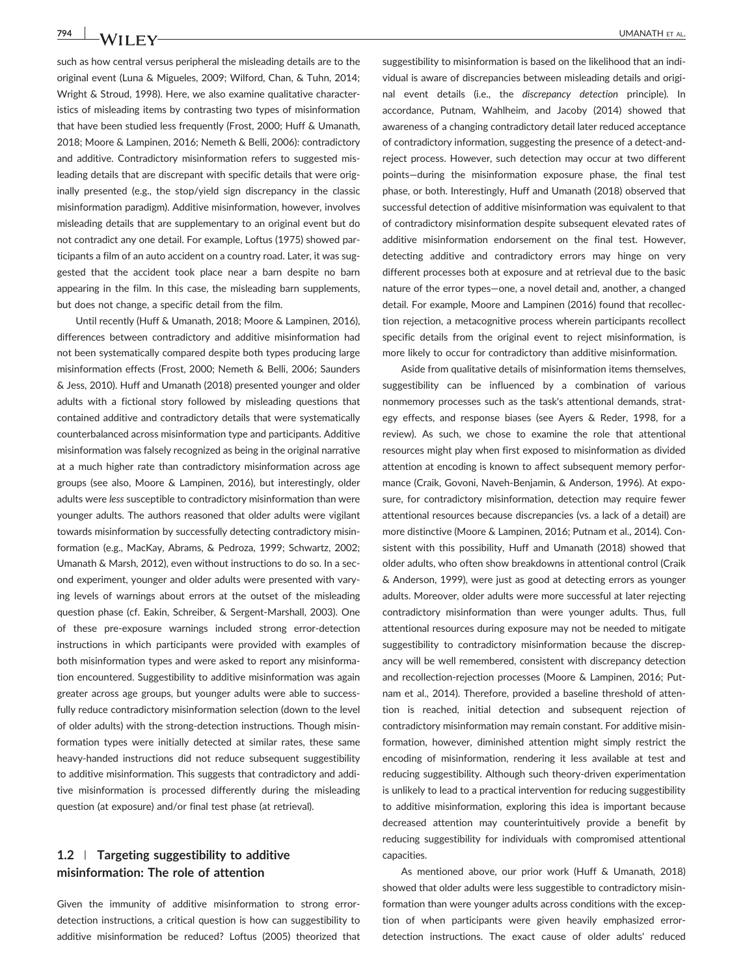such as how central versus peripheral the misleading details are to the original event (Luna & Migueles, 2009; Wilford, Chan, & Tuhn, 2014; Wright & Stroud, 1998). Here, we also examine qualitative characteristics of misleading items by contrasting two types of misinformation that have been studied less frequently (Frost, 2000; Huff & Umanath, 2018; Moore & Lampinen, 2016; Nemeth & Belli, 2006): contradictory and additive. Contradictory misinformation refers to suggested misleading details that are discrepant with specific details that were originally presented (e.g., the stop/yield sign discrepancy in the classic misinformation paradigm). Additive misinformation, however, involves misleading details that are supplementary to an original event but do not contradict any one detail. For example, Loftus (1975) showed participants a film of an auto accident on a country road. Later, it was suggested that the accident took place near a barn despite no barn appearing in the film. In this case, the misleading barn supplements, but does not change, a specific detail from the film.

Until recently (Huff & Umanath, 2018; Moore & Lampinen, 2016), differences between contradictory and additive misinformation had not been systematically compared despite both types producing large misinformation effects (Frost, 2000; Nemeth & Belli, 2006; Saunders & Jess, 2010). Huff and Umanath (2018) presented younger and older adults with a fictional story followed by misleading questions that contained additive and contradictory details that were systematically counterbalanced across misinformation type and participants. Additive misinformation was falsely recognized as being in the original narrative at a much higher rate than contradictory misinformation across age groups (see also, Moore & Lampinen, 2016), but interestingly, older adults were less susceptible to contradictory misinformation than were younger adults. The authors reasoned that older adults were vigilant towards misinformation by successfully detecting contradictory misinformation (e.g., MacKay, Abrams, & Pedroza, 1999; Schwartz, 2002; Umanath & Marsh, 2012), even without instructions to do so. In a second experiment, younger and older adults were presented with varying levels of warnings about errors at the outset of the misleading question phase (cf. Eakin, Schreiber, & Sergent‐Marshall, 2003). One of these pre‐exposure warnings included strong error‐detection instructions in which participants were provided with examples of both misinformation types and were asked to report any misinformation encountered. Suggestibility to additive misinformation was again greater across age groups, but younger adults were able to successfully reduce contradictory misinformation selection (down to the level of older adults) with the strong‐detection instructions. Though misinformation types were initially detected at similar rates, these same heavy‐handed instructions did not reduce subsequent suggestibility to additive misinformation. This suggests that contradictory and additive misinformation is processed differently during the misleading question (at exposure) and/or final test phase (at retrieval).

# 1.2 | Targeting suggestibility to additive misinformation: The role of attention

Given the immunity of additive misinformation to strong error‐ detection instructions, a critical question is how can suggestibility to additive misinformation be reduced? Loftus (2005) theorized that suggestibility to misinformation is based on the likelihood that an individual is aware of discrepancies between misleading details and original event details (i.e., the discrepancy detection principle). In accordance, Putnam, Wahlheim, and Jacoby (2014) showed that awareness of a changing contradictory detail later reduced acceptance of contradictory information, suggesting the presence of a detect-andreject process. However, such detection may occur at two different points—during the misinformation exposure phase, the final test phase, or both. Interestingly, Huff and Umanath (2018) observed that successful detection of additive misinformation was equivalent to that of contradictory misinformation despite subsequent elevated rates of additive misinformation endorsement on the final test. However, detecting additive and contradictory errors may hinge on very different processes both at exposure and at retrieval due to the basic nature of the error types—one, a novel detail and, another, a changed detail. For example, Moore and Lampinen (2016) found that recollection rejection, a metacognitive process wherein participants recollect specific details from the original event to reject misinformation, is more likely to occur for contradictory than additive misinformation.

Aside from qualitative details of misinformation items themselves, suggestibility can be influenced by a combination of various nonmemory processes such as the task's attentional demands, strategy effects, and response biases (see Ayers & Reder, 1998, for a review). As such, we chose to examine the role that attentional resources might play when first exposed to misinformation as divided attention at encoding is known to affect subsequent memory performance (Craik, Govoni, Naveh‐Benjamin, & Anderson, 1996). At exposure, for contradictory misinformation, detection may require fewer attentional resources because discrepancies (vs. a lack of a detail) are more distinctive (Moore & Lampinen, 2016; Putnam et al., 2014). Consistent with this possibility, Huff and Umanath (2018) showed that older adults, who often show breakdowns in attentional control (Craik & Anderson, 1999), were just as good at detecting errors as younger adults. Moreover, older adults were more successful at later rejecting contradictory misinformation than were younger adults. Thus, full attentional resources during exposure may not be needed to mitigate suggestibility to contradictory misinformation because the discrepancy will be well remembered, consistent with discrepancy detection and recollection‐rejection processes (Moore & Lampinen, 2016; Putnam et al., 2014). Therefore, provided a baseline threshold of attention is reached, initial detection and subsequent rejection of contradictory misinformation may remain constant. For additive misinformation, however, diminished attention might simply restrict the encoding of misinformation, rendering it less available at test and reducing suggestibility. Although such theory‐driven experimentation is unlikely to lead to a practical intervention for reducing suggestibility to additive misinformation, exploring this idea is important because decreased attention may counterintuitively provide a benefit by reducing suggestibility for individuals with compromised attentional capacities.

As mentioned above, our prior work (Huff & Umanath, 2018) showed that older adults were less suggestible to contradictory misinformation than were younger adults across conditions with the exception of when participants were given heavily emphasized error‐ detection instructions. The exact cause of older adults' reduced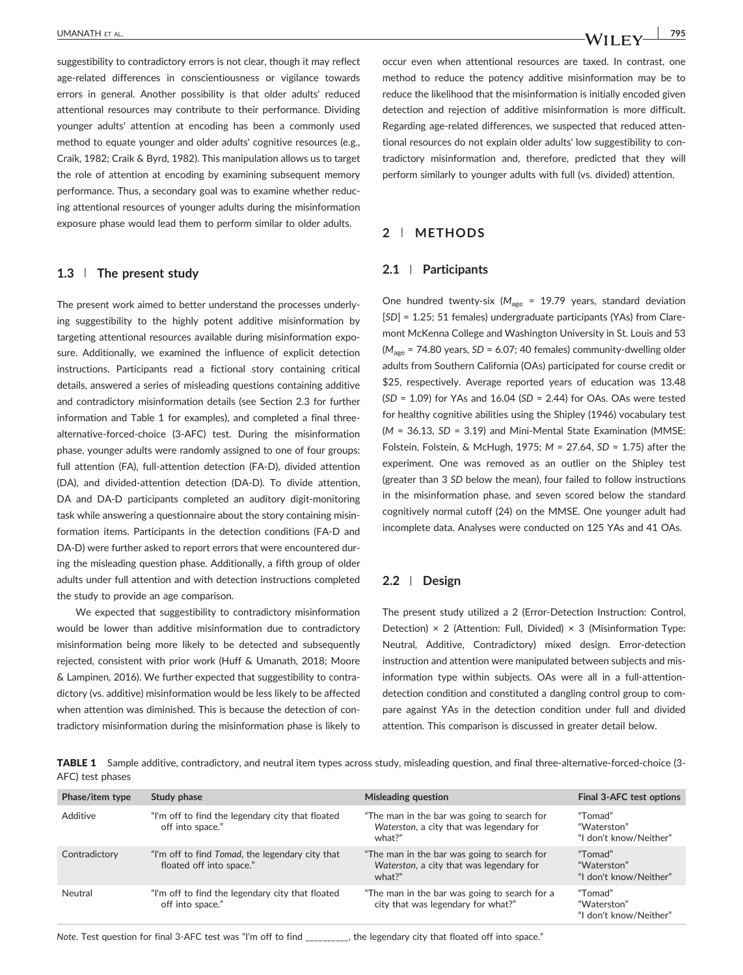suggestibility to contradictory errors is not clear, though it may reflect age‐related differences in conscientiousness or vigilance towards errors in general. Another possibility is that older adults' reduced attentional resources may contribute to their performance. Dividing younger adults' attention at encoding has been a commonly used method to equate younger and older adults' cognitive resources (e.g., Craik, 1982; Craik & Byrd, 1982). This manipulation allows us to target the role of attention at encoding by examining subsequent memory performance. Thus, a secondary goal was to examine whether reducing attentional resources of younger adults during the misinformation exposure phase would lead them to perform similar to older adults.

# 1.3 | The present study

The present work aimed to better understand the processes underlying suggestibility to the highly potent additive misinformation by targeting attentional resources available during misinformation exposure. Additionally, we examined the influence of explicit detection instructions. Participants read a fictional story containing critical details, answered a series of misleading questions containing additive and contradictory misinformation details (see Section 2.3 for further information and Table 1 for examples), and completed a final three‐ alternative‐forced‐choice (3‐AFC) test. During the misinformation phase, younger adults were randomly assigned to one of four groups: full attention (FA), full‐attention detection (FA‐D), divided attention (DA), and divided‐attention detection (DA‐D). To divide attention, DA and DA-D participants completed an auditory digit-monitoring task while answering a questionnaire about the story containing misinformation items. Participants in the detection conditions (FA‐D and DA-D) were further asked to report errors that were encountered during the misleading question phase. Additionally, a fifth group of older adults under full attention and with detection instructions completed the study to provide an age comparison.

We expected that suggestibility to contradictory misinformation would be lower than additive misinformation due to contradictory misinformation being more likely to be detected and subsequently rejected, consistent with prior work (Huff & Umanath, 2018; Moore & Lampinen, 2016). We further expected that suggestibility to contradictory (vs. additive) misinformation would be less likely to be affected when attention was diminished. This is because the detection of contradictory misinformation during the misinformation phase is likely to

occur even when attentional resources are taxed. In contrast, one method to reduce the potency additive misinformation may be to reduce the likelihood that the misinformation is initially encoded given detection and rejection of additive misinformation is more difficult. Regarding age‐related differences, we suspected that reduced attentional resources do not explain older adults' low suggestibility to contradictory misinformation and, therefore, predicted that they will perform similarly to younger adults with full (vs. divided) attention.

# 2 | METHODS

# 2.1 | Participants

One hundred twenty-six ( $M_{\text{age}}$  = 19.79 years, standard deviation [SD] = 1.25; 51 females) undergraduate participants (YAs) from Claremont McKenna College and Washington University in St. Louis and 53  $(M<sub>ave</sub> = 74.80$  years, SD = 6.07; 40 females) community-dwelling older adults from Southern California (OAs) participated for course credit or \$25, respectively. Average reported years of education was 13.48  $(SD = 1.09)$  for YAs and 16.04  $(SD = 2.44)$  for OAs. OAs were tested for healthy cognitive abilities using the Shipley (1946) vocabulary test (M = 36.13, SD = 3.19) and Mini‐Mental State Examination (MMSE: Folstein, Folstein, & McHugh, 1975;  $M = 27.64$ , SD = 1.75) after the experiment. One was removed as an outlier on the Shipley test (greater than 3 SD below the mean), four failed to follow instructions in the misinformation phase, and seven scored below the standard cognitively normal cutoff (24) on the MMSE. One younger adult had incomplete data. Analyses were conducted on 125 YAs and 41 OAs.

# 2.2 | Design

The present study utilized a 2 (Error‐Detection Instruction: Control, Detection)  $\times$  2 (Attention: Full, Divided)  $\times$  3 (Misinformation Type: Neutral, Additive, Contradictory) mixed design. Error‐detection instruction and attention were manipulated between subjects and misinformation type within subjects. OAs were all in a full-attentiondetection condition and constituted a dangling control group to compare against YAs in the detection condition under full and divided attention. This comparison is discussed in greater detail below.

TABLE 1 Sample additive, contradictory, and neutral item types across study, misleading question, and final three-alternative-forced-choice (3-AFC) test phases

| Phase/item type | Study phase                                                                 | Misleading question                                                                               | Final 3-AFC test options                         |
|-----------------|-----------------------------------------------------------------------------|---------------------------------------------------------------------------------------------------|--------------------------------------------------|
| Additive        | "I'm off to find the legendary city that floated<br>off into space."        | "The man in the bar was going to search for<br>Waterston, a city that was legendary for<br>what?" | "Tomad"<br>"Waterston"<br>"I don't know/Neither" |
| Contradictory   | "I'm off to find Tomad, the legendary city that<br>floated off into space." | "The man in the bar was going to search for<br>Waterston, a city that was legendary for<br>what?" | "Tomad"<br>"Waterston"<br>"I don't know/Neither" |
| Neutral         | "I'm off to find the legendary city that floated<br>off into space."        | "The man in the bar was going to search for a<br>city that was legendary for what?"               | "Tomad"<br>"Waterston"<br>"I don't know/Neither" |

Note. Test question for final 3‐AFC test was "I'm off to find \_\_\_\_\_\_\_\_\_\_, the legendary city that floated off into space."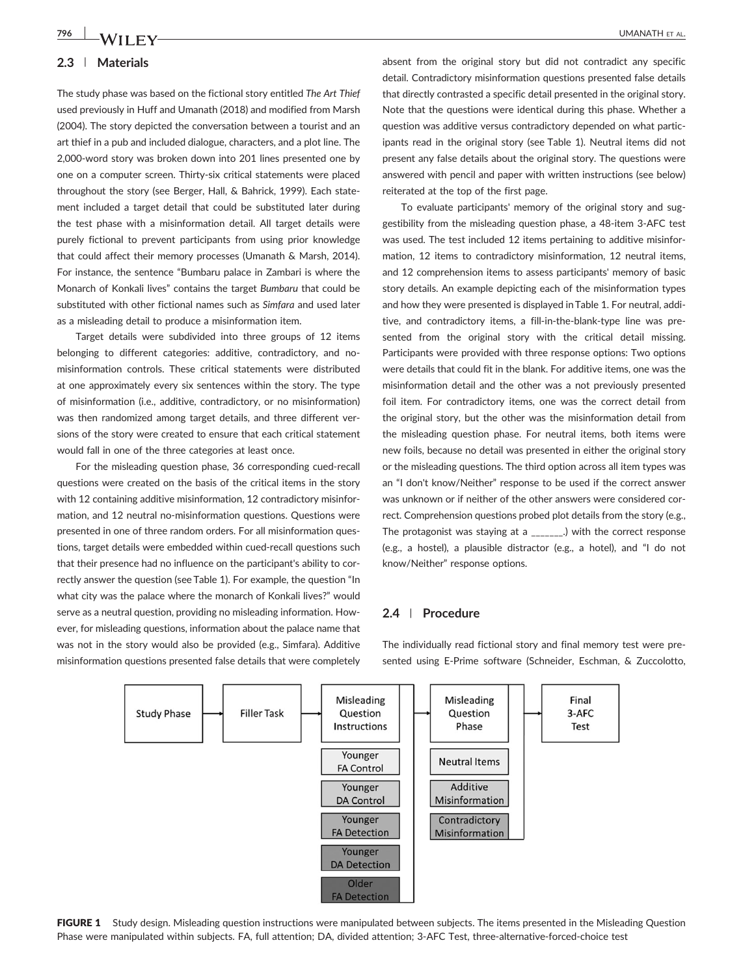# 2.3 | Materials

The study phase was based on the fictional story entitled The Art Thief used previously in Huff and Umanath (2018) and modified from Marsh (2004). The story depicted the conversation between a tourist and an art thief in a pub and included dialogue, characters, and a plot line. The 2,000‐word story was broken down into 201 lines presented one by one on a computer screen. Thirty‐six critical statements were placed throughout the story (see Berger, Hall, & Bahrick, 1999). Each statement included a target detail that could be substituted later during the test phase with a misinformation detail. All target details were purely fictional to prevent participants from using prior knowledge that could affect their memory processes (Umanath & Marsh, 2014). For instance, the sentence "Bumbaru palace in Zambari is where the Monarch of Konkali lives" contains the target Bumbaru that could be substituted with other fictional names such as Simfara and used later as a misleading detail to produce a misinformation item.

Target details were subdivided into three groups of 12 items belonging to different categories: additive, contradictory, and no‐ misinformation controls. These critical statements were distributed at one approximately every six sentences within the story. The type of misinformation (i.e., additive, contradictory, or no misinformation) was then randomized among target details, and three different versions of the story were created to ensure that each critical statement would fall in one of the three categories at least once.

For the misleading question phase, 36 corresponding cued‐recall questions were created on the basis of the critical items in the story with 12 containing additive misinformation, 12 contradictory misinformation, and 12 neutral no-misinformation questions. Questions were presented in one of three random orders. For all misinformation questions, target details were embedded within cued‐recall questions such that their presence had no influence on the participant's ability to correctly answer the question (see Table 1). For example, the question "In what city was the palace where the monarch of Konkali lives?" would serve as a neutral question, providing no misleading information. However, for misleading questions, information about the palace name that was not in the story would also be provided (e.g., Simfara). Additive misinformation questions presented false details that were completely

absent from the original story but did not contradict any specific detail. Contradictory misinformation questions presented false details that directly contrasted a specific detail presented in the original story. Note that the questions were identical during this phase. Whether a question was additive versus contradictory depended on what participants read in the original story (see Table 1). Neutral items did not present any false details about the original story. The questions were answered with pencil and paper with written instructions (see below) reiterated at the top of the first page.

To evaluate participants' memory of the original story and suggestibility from the misleading question phase, a 48‐item 3‐AFC test was used. The test included 12 items pertaining to additive misinformation, 12 items to contradictory misinformation, 12 neutral items, and 12 comprehension items to assess participants' memory of basic story details. An example depicting each of the misinformation types and how they were presented is displayed in Table 1. For neutral, additive, and contradictory items, a fill‐in‐the‐blank‐type line was presented from the original story with the critical detail missing. Participants were provided with three response options: Two options were details that could fit in the blank. For additive items, one was the misinformation detail and the other was a not previously presented foil item. For contradictory items, one was the correct detail from the original story, but the other was the misinformation detail from the misleading question phase. For neutral items, both items were new foils, because no detail was presented in either the original story or the misleading questions. The third option across all item types was an "I don't know/Neither" response to be used if the correct answer was unknown or if neither of the other answers were considered correct. Comprehension questions probed plot details from the story (e.g., The protagonist was staying at a \_\_\_\_\_\_\_.) with the correct response (e.g., a hostel), a plausible distractor (e.g., a hotel), and "I do not know/Neither" response options.

## 2.4 | Procedure



The individually read fictional story and final memory test were presented using E‐Prime software (Schneider, Eschman, & Zuccolotto,

FIGURE 1 Study design. Misleading question instructions were manipulated between subjects. The items presented in the Misleading Question Phase were manipulated within subjects. FA, full attention; DA, divided attention; 3‐AFC Test, three‐alternative‐forced‐choice test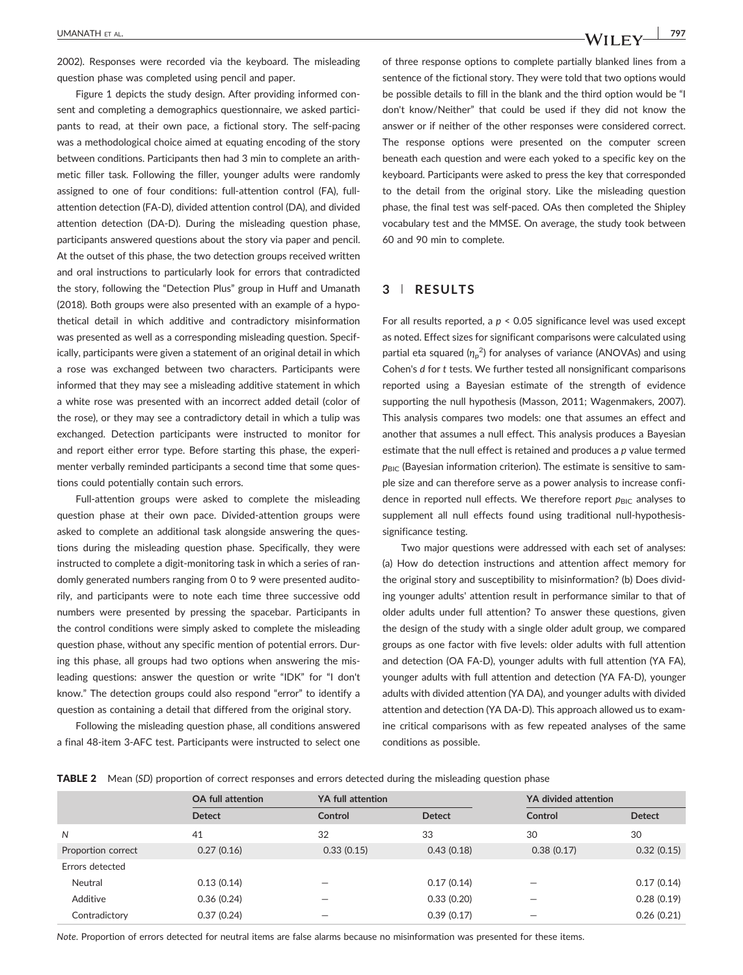2002). Responses were recorded via the keyboard. The misleading question phase was completed using pencil and paper.

Figure 1 depicts the study design. After providing informed consent and completing a demographics questionnaire, we asked participants to read, at their own pace, a fictional story. The self‐pacing was a methodological choice aimed at equating encoding of the story between conditions. Participants then had 3 min to complete an arithmetic filler task. Following the filler, younger adults were randomly assigned to one of four conditions: full-attention control (FA), fullattention detection (FA‐D), divided attention control (DA), and divided attention detection (DA‐D). During the misleading question phase, participants answered questions about the story via paper and pencil. At the outset of this phase, the two detection groups received written and oral instructions to particularly look for errors that contradicted the story, following the "Detection Plus" group in Huff and Umanath (2018). Both groups were also presented with an example of a hypothetical detail in which additive and contradictory misinformation was presented as well as a corresponding misleading question. Specifically, participants were given a statement of an original detail in which a rose was exchanged between two characters. Participants were informed that they may see a misleading additive statement in which a white rose was presented with an incorrect added detail (color of the rose), or they may see a contradictory detail in which a tulip was exchanged. Detection participants were instructed to monitor for and report either error type. Before starting this phase, the experimenter verbally reminded participants a second time that some questions could potentially contain such errors.

Full-attention groups were asked to complete the misleading question phase at their own pace. Divided‐attention groups were asked to complete an additional task alongside answering the questions during the misleading question phase. Specifically, they were instructed to complete a digit‐monitoring task in which a series of randomly generated numbers ranging from 0 to 9 were presented auditorily, and participants were to note each time three successive odd numbers were presented by pressing the spacebar. Participants in the control conditions were simply asked to complete the misleading question phase, without any specific mention of potential errors. During this phase, all groups had two options when answering the misleading questions: answer the question or write "IDK" for "I don't know." The detection groups could also respond "error" to identify a question as containing a detail that differed from the original story.

Following the misleading question phase, all conditions answered a final 48‐item 3‐AFC test. Participants were instructed to select one

of three response options to complete partially blanked lines from a sentence of the fictional story. They were told that two options would be possible details to fill in the blank and the third option would be "I don't know/Neither" that could be used if they did not know the answer or if neither of the other responses were considered correct. The response options were presented on the computer screen beneath each question and were each yoked to a specific key on the keyboard. Participants were asked to press the key that corresponded to the detail from the original story. Like the misleading question phase, the final test was self‐paced. OAs then completed the Shipley vocabulary test and the MMSE. On average, the study took between 60 and 90 min to complete.

# 3 | RESULTS

For all results reported, a  $p < 0.05$  significance level was used except as noted. Effect sizes for significant comparisons were calculated using partial eta squared  $(\eta_p^2)$  for analyses of variance (ANOVAs) and using Cohen's d for t tests. We further tested all nonsignificant comparisons reported using a Bayesian estimate of the strength of evidence supporting the null hypothesis (Masson, 2011; Wagenmakers, 2007). This analysis compares two models: one that assumes an effect and another that assumes a null effect. This analysis produces a Bayesian estimate that the null effect is retained and produces a  $p$  value termed  $p_{\text{BIC}}$  (Bayesian information criterion). The estimate is sensitive to sample size and can therefore serve as a power analysis to increase confidence in reported null effects. We therefore report  $p<sub>BIC</sub>$  analyses to supplement all null effects found using traditional null-hypothesissignificance testing.

Two major questions were addressed with each set of analyses: (a) How do detection instructions and attention affect memory for the original story and susceptibility to misinformation? (b) Does dividing younger adults' attention result in performance similar to that of older adults under full attention? To answer these questions, given the design of the study with a single older adult group, we compared groups as one factor with five levels: older adults with full attention and detection (OA FA‐D), younger adults with full attention (YA FA), younger adults with full attention and detection (YA FA‐D), younger adults with divided attention (YA DA), and younger adults with divided attention and detection (YA DA‐D). This approach allowed us to examine critical comparisons with as few repeated analyses of the same conditions as possible.

|  |  |  |  | <b>TABLE 2</b> Mean (SD) proportion of correct responses and errors detected during the misleading question phase |  |  |  |  |  |  |
|--|--|--|--|-------------------------------------------------------------------------------------------------------------------|--|--|--|--|--|--|
|--|--|--|--|-------------------------------------------------------------------------------------------------------------------|--|--|--|--|--|--|

|                    | <b>OA full attention</b> | YA full attention |               | YA divided attention |               |
|--------------------|--------------------------|-------------------|---------------|----------------------|---------------|
|                    | <b>Detect</b>            | Control           | <b>Detect</b> | Control              | <b>Detect</b> |
| N                  | 41                       | 32                | 33            | 30                   | 30            |
| Proportion correct | 0.27(0.16)               | 0.33(0.15)        | 0.43(0.18)    | 0.38(0.17)           | 0.32(0.15)    |
| Errors detected    |                          |                   |               |                      |               |
| Neutral            | 0.13(0.14)               |                   | 0.17(0.14)    |                      | 0.17(0.14)    |
| Additive           | 0.36(0.24)               |                   | 0.33(0.20)    |                      | 0.28(0.19)    |
| Contradictory      | 0.37(0.24)               |                   | 0.39(0.17)    |                      | 0.26(0.21)    |

Note. Proportion of errors detected for neutral items are false alarms because no misinformation was presented for these items.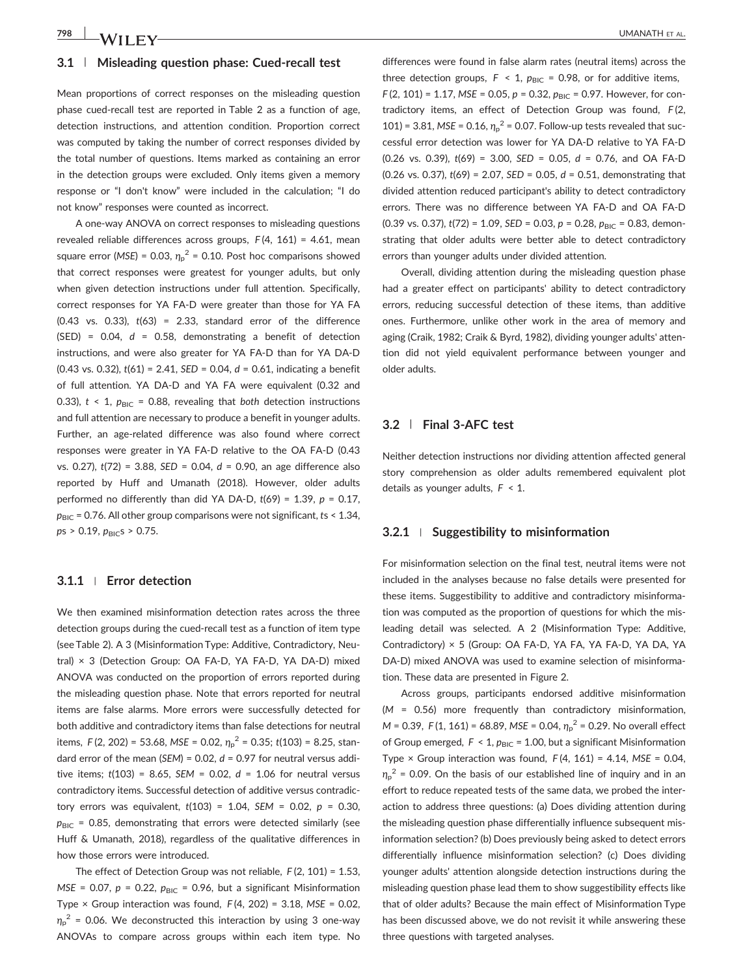### 3.1 | Misleading question phase: Cued-recall test

Mean proportions of correct responses on the misleading question phase cued‐recall test are reported in Table 2 as a function of age, detection instructions, and attention condition. Proportion correct was computed by taking the number of correct responses divided by the total number of questions. Items marked as containing an error in the detection groups were excluded. Only items given a memory response or "I don't know" were included in the calculation; "I do not know" responses were counted as incorrect.

A one‐way ANOVA on correct responses to misleading questions revealed reliable differences across groups,  $F(4, 161) = 4.61$ , mean square error (MSE) = 0.03,  $\eta_p^2$  = 0.10. Post hoc comparisons showed that correct responses were greatest for younger adults, but only when given detection instructions under full attention. Specifically, correct responses for YA FA‐D were greater than those for YA FA  $(0.43 \text{ vs. } 0.33)$ ,  $t(63) = 2.33$ , standard error of the difference  $(SED) = 0.04$ ,  $d = 0.58$ , demonstrating a benefit of detection instructions, and were also greater for YA FA‐D than for YA DA‐D (0.43 vs. 0.32),  $t(61) = 2.41$ ,  $SED = 0.04$ ,  $d = 0.61$ , indicating a benefit of full attention. YA DA‐D and YA FA were equivalent (0.32 and 0.33),  $t \leq 1$ ,  $p_{\text{BIC}} = 0.88$ , revealing that both detection instructions and full attention are necessary to produce a benefit in younger adults. Further, an age-related difference was also found where correct responses were greater in YA FA‐D relative to the OA FA‐D (0.43 vs. 0.27),  $t(72) = 3.88$ ,  $SED = 0.04$ ,  $d = 0.90$ , an age difference also reported by Huff and Umanath (2018). However, older adults performed no differently than did YA DA-D,  $t(69) = 1.39$ ,  $p = 0.17$ ,  $p_{BIC}$  = 0.76. All other group comparisons were not significant, ts < 1.34,  $ps > 0.19$ ,  $p_{\text{BIC}}s > 0.75$ .

### 3.1.1 <sup>|</sup> Error detection

We then examined misinformation detection rates across the three detection groups during the cued‐recall test as a function of item type (see Table 2). A 3 (Misinformation Type: Additive, Contradictory, Neutral) × 3 (Detection Group: OA FA‐D, YA FA‐D, YA DA‐D) mixed ANOVA was conducted on the proportion of errors reported during the misleading question phase. Note that errors reported for neutral items are false alarms. More errors were successfully detected for both additive and contradictory items than false detections for neutral items,  $F(2, 202) = 53.68$ , MSE = 0.02,  $\eta_p^2 = 0.35$ ;  $t(103) = 8.25$ , standard error of the mean (SEM) = 0.02,  $d = 0.97$  for neutral versus additive items;  $t(103) = 8.65$ , SEM = 0.02,  $d = 1.06$  for neutral versus contradictory items. Successful detection of additive versus contradictory errors was equivalent,  $t(103) = 1.04$ ,  $SEM = 0.02$ ,  $p = 0.30$ ,  $p_{BIC}$  = 0.85, demonstrating that errors were detected similarly (see Huff & Umanath, 2018), regardless of the qualitative differences in how those errors were introduced.

The effect of Detection Group was not reliable, F (2, 101) = 1.53, MSE = 0.07,  $p = 0.22$ ,  $p_{BIC} = 0.96$ , but a significant Misinformation Type  $\times$  Group interaction was found,  $F(4, 202) = 3.18$ , MSE = 0.02,  ${\eta_{\rm p}}^2$  = 0.06. We deconstructed this interaction by using 3 one-way ANOVAs to compare across groups within each item type. No

differences were found in false alarm rates (neutral items) across the three detection groups,  $F \le 1$ ,  $p_{\text{BIC}} = 0.98$ , or for additive items,  $F(2, 101) = 1.17$ , MSE = 0.05,  $p = 0.32$ ,  $p_{\text{BIC}} = 0.97$ . However, for contradictory items, an effect of Detection Group was found, F (2, 101) = 3.81, MSE = 0.16,  $\eta_p^2$  = 0.07. Follow-up tests revealed that successful error detection was lower for YA DA‐D relative to YA FA‐D (0.26 vs. 0.39),  $t(69) = 3.00$ ,  $SED = 0.05$ ,  $d = 0.76$ , and OA FA-D (0.26 vs. 0.37),  $t(69) = 2.07$ ,  $SED = 0.05$ ,  $d = 0.51$ , demonstrating that divided attention reduced participant's ability to detect contradictory errors. There was no difference between YA FA‐D and OA FA‐D (0.39 vs. 0.37),  $t(72) = 1.09$ ,  $SED = 0.03$ ,  $p = 0.28$ ,  $p<sub>BIC</sub> = 0.83$ , demonstrating that older adults were better able to detect contradictory errors than younger adults under divided attention.

Overall, dividing attention during the misleading question phase had a greater effect on participants' ability to detect contradictory errors, reducing successful detection of these items, than additive ones. Furthermore, unlike other work in the area of memory and aging (Craik, 1982; Craik & Byrd, 1982), dividing younger adults' attention did not yield equivalent performance between younger and older adults.

# 3.2 | Final 3‐AFC test

Neither detection instructions nor dividing attention affected general story comprehension as older adults remembered equivalent plot details as younger adults,  $F < 1$ .

### $3.2.1$  | Suggestibility to misinformation

For misinformation selection on the final test, neutral items were not included in the analyses because no false details were presented for these items. Suggestibility to additive and contradictory misinformation was computed as the proportion of questions for which the misleading detail was selected. A 2 (Misinformation Type: Additive, Contradictory) × 5 (Group: OA FA‐D, YA FA, YA FA‐D, YA DA, YA DA-D) mixed ANOVA was used to examine selection of misinformation. These data are presented in Figure 2.

Across groups, participants endorsed additive misinformation  $(M = 0.56)$  more frequently than contradictory misinformation,  $M = 0.39, F(1, 161) = 68.89, MSE = 0.04, \eta_p^2 = 0.29$ . No overall effect of Group emerged,  $F < 1$ ,  $p_{BIC} = 1.00$ , but a significant Misinformation Type  $\times$  Group interaction was found,  $F(4, 161) = 4.14$ , MSE = 0.04,  $\eta_{\text{p}}^2$  = 0.09. On the basis of our established line of inquiry and in an effort to reduce repeated tests of the same data, we probed the interaction to address three questions: (a) Does dividing attention during the misleading question phase differentially influence subsequent misinformation selection? (b) Does previously being asked to detect errors differentially influence misinformation selection? (c) Does dividing younger adults' attention alongside detection instructions during the misleading question phase lead them to show suggestibility effects like that of older adults? Because the main effect of Misinformation Type has been discussed above, we do not revisit it while answering these three questions with targeted analyses.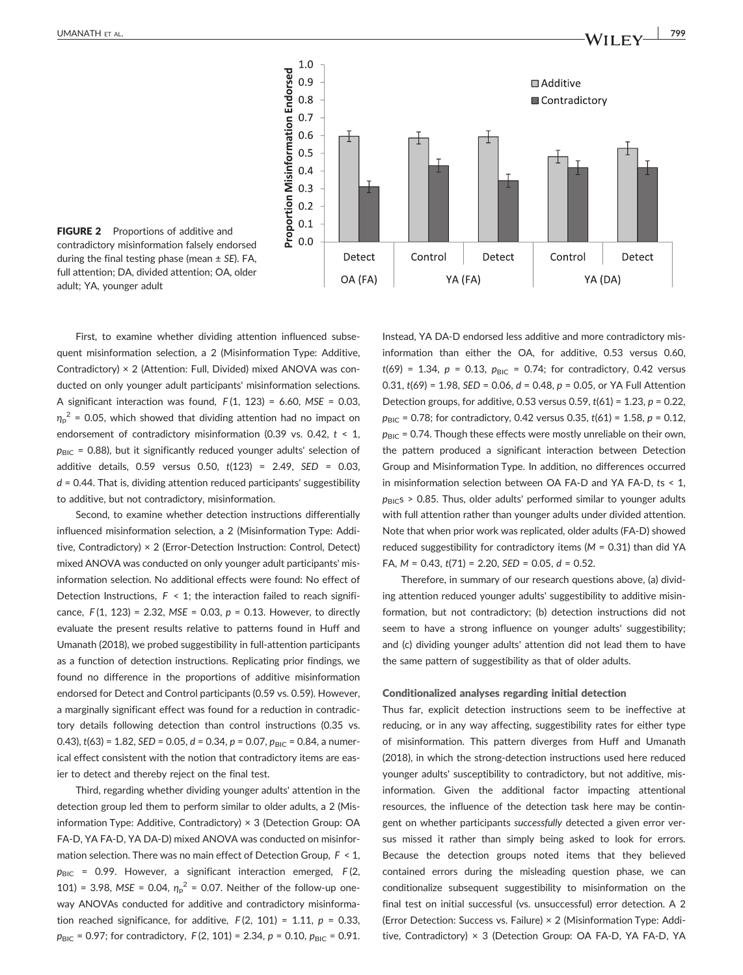

FIGURE 2 Proportions of additive and contradictory misinformation falsely endorsed during the final testing phase (mean  $\pm$  SE). FA, full attention; DA, divided attention; OA, older adult; YA, younger adult

First, to examine whether dividing attention influenced subsequent misinformation selection, a 2 (Misinformation Type: Additive, Contradictory) × 2 (Attention: Full, Divided) mixed ANOVA was conducted on only younger adult participants' misinformation selections. A significant interaction was found,  $F(1, 123) = 6.60$ , MSE = 0.03,  ${\eta_{\rm p}}^2$  = 0.05, which showed that dividing attention had no impact on endorsement of contradictory misinformation (0.39 vs. 0.42,  $t < 1$ ,  $p_{BIC}$  = 0.88), but it significantly reduced younger adults' selection of additive details,  $0.59$  versus  $0.50$ ,  $t(123) = 2.49$ ,  $SED = 0.03$ ,  $d = 0.44$ . That is, dividing attention reduced participants' suggestibility to additive, but not contradictory, misinformation.

Second, to examine whether detection instructions differentially influenced misinformation selection, a 2 (Misinformation Type: Additive, Contradictory) × 2 (Error‐Detection Instruction: Control, Detect) mixed ANOVA was conducted on only younger adult participants' misinformation selection. No additional effects were found: No effect of Detection Instructions,  $F \leq 1$ ; the interaction failed to reach significance,  $F(1, 123) = 2.32$ ,  $MSE = 0.03$ ,  $p = 0.13$ . However, to directly evaluate the present results relative to patterns found in Huff and Umanath (2018), we probed suggestibility in full‐attention participants as a function of detection instructions. Replicating prior findings, we found no difference in the proportions of additive misinformation endorsed for Detect and Control participants (0.59 vs. 0.59). However, a marginally significant effect was found for a reduction in contradictory details following detection than control instructions (0.35 vs. 0.43),  $t(63) = 1.82$ ,  $SED = 0.05$ ,  $d = 0.34$ ,  $p = 0.07$ ,  $p_{BIC} = 0.84$ , a numerical effect consistent with the notion that contradictory items are easier to detect and thereby reject on the final test.

Third, regarding whether dividing younger adults' attention in the detection group led them to perform similar to older adults, a 2 (Misinformation Type: Additive, Contradictory) × 3 (Detection Group: OA FA‐D, YA FA‐D, YA DA‐D) mixed ANOVA was conducted on misinformation selection. There was no main effect of Detection Group,  $F \leq 1$ ,  $p_{BIC}$  = 0.99. However, a significant interaction emerged,  $F(2, 1)$ 101) = 3.98, MSE = 0.04,  $\eta_p^2$  = 0.07. Neither of the follow-up oneway ANOVAs conducted for additive and contradictory misinformation reached significance, for additive,  $F(2, 101) = 1.11$ ,  $p = 0.33$ ,  $p_{BIC}$  = 0.97; for contradictory,  $F(2, 101) = 2.34$ ,  $p = 0.10$ ,  $p_{BIC} = 0.91$ .

Instead, YA DA‐D endorsed less additive and more contradictory misinformation than either the OA, for additive, 0.53 versus 0.60,  $t(69) = 1.34$ ,  $p = 0.13$ ,  $p_{BIC} = 0.74$ ; for contradictory, 0.42 versus 0.31,  $t(69) = 1.98$ ,  $SED = 0.06$ ,  $d = 0.48$ ,  $p = 0.05$ , or YA Full Attention Detection groups, for additive, 0.53 versus 0.59,  $t(61) = 1.23$ ,  $p = 0.22$ ,  $p_{\text{BIC}}$  = 0.78; for contradictory, 0.42 versus 0.35,  $t(61)$  = 1.58,  $p$  = 0.12,  $p_{\text{BIC}}$  = 0.74. Though these effects were mostly unreliable on their own, the pattern produced a significant interaction between Detection Group and Misinformation Type. In addition, no differences occurred in misinformation selection between OA FA‐D and YA FA‐D, ts < 1,  $p_{BIC}$ s > 0.85. Thus, older adults' performed similar to younger adults with full attention rather than younger adults under divided attention. Note that when prior work was replicated, older adults (FA‐D) showed reduced suggestibility for contradictory items ( $M = 0.31$ ) than did YA FA,  $M = 0.43$ ,  $t(71) = 2.20$ ,  $SED = 0.05$ ,  $d = 0.52$ .

Therefore, in summary of our research questions above, (a) dividing attention reduced younger adults' suggestibility to additive misinformation, but not contradictory; (b) detection instructions did not seem to have a strong influence on younger adults' suggestibility; and (c) dividing younger adults' attention did not lead them to have the same pattern of suggestibility as that of older adults.

# Conditionalized analyses regarding initial detection

Thus far, explicit detection instructions seem to be ineffective at reducing, or in any way affecting, suggestibility rates for either type of misinformation. This pattern diverges from Huff and Umanath (2018), in which the strong-detection instructions used here reduced younger adults' susceptibility to contradictory, but not additive, misinformation. Given the additional factor impacting attentional resources, the influence of the detection task here may be contingent on whether participants successfully detected a given error versus missed it rather than simply being asked to look for errors. Because the detection groups noted items that they believed contained errors during the misleading question phase, we can conditionalize subsequent suggestibility to misinformation on the final test on initial successful (vs. unsuccessful) error detection. A 2 (Error Detection: Success vs. Failure) × 2 (Misinformation Type: Additive, Contradictory) × 3 (Detection Group: OA FA‐D, YA FA‐D, YA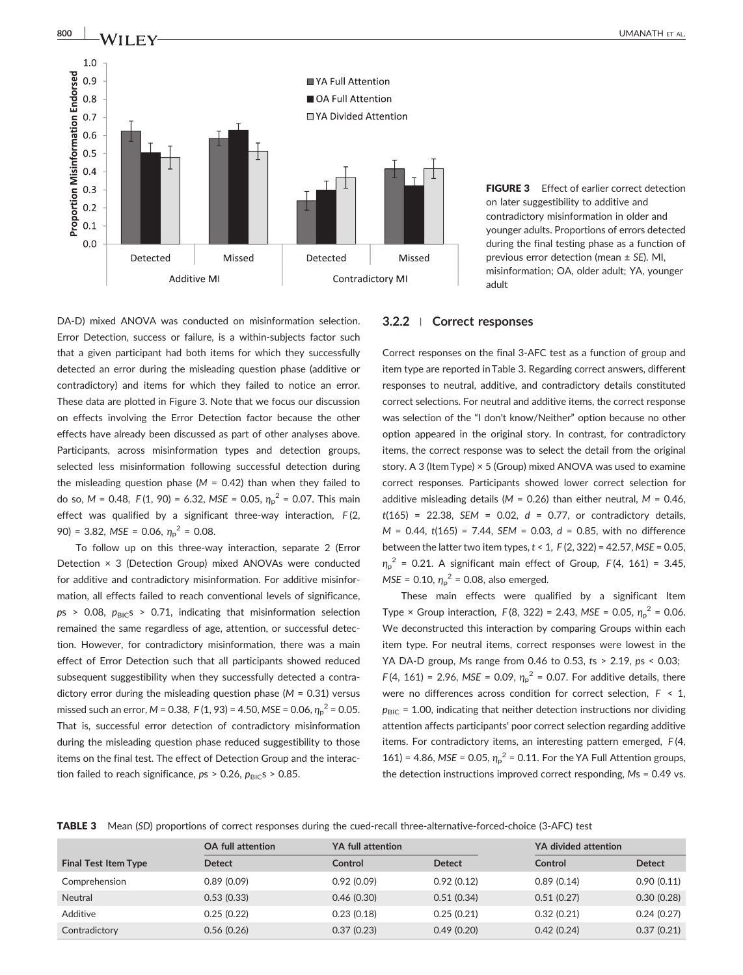

FIGURE 3 Effect of earlier correct detection on later suggestibility to additive and contradictory misinformation in older and younger adults. Proportions of errors detected during the final testing phase as a function of previous error detection (mean ± SE). MI, misinformation; OA, older adult; YA, younger adult

DA‐D) mixed ANOVA was conducted on misinformation selection. Error Detection, success or failure, is a within‐subjects factor such that a given participant had both items for which they successfully detected an error during the misleading question phase (additive or contradictory) and items for which they failed to notice an error. These data are plotted in Figure 3. Note that we focus our discussion on effects involving the Error Detection factor because the other effects have already been discussed as part of other analyses above. Participants, across misinformation types and detection groups, selected less misinformation following successful detection during the misleading question phase ( $M = 0.42$ ) than when they failed to do so,  $M = 0.48$ ,  $F(1, 90) = 6.32$ ,  $MSE = 0.05$ ,  $\eta_p^2 = 0.07$ . This main effect was qualified by a significant three‐way interaction, F (2, 90) = 3.82, MSE = 0.06,  $\eta_{\text{p}}^2$  = 0.08.

To follow up on this three‐way interaction, separate 2 (Error Detection  $\times$  3 (Detection Group) mixed ANOVAs were conducted for additive and contradictory misinformation. For additive misinformation, all effects failed to reach conventional levels of significance,  $ps > 0.08$ ,  $p_{BIC}s > 0.71$ , indicating that misinformation selection remained the same regardless of age, attention, or successful detection. However, for contradictory misinformation, there was a main effect of Error Detection such that all participants showed reduced subsequent suggestibility when they successfully detected a contradictory error during the misleading question phase ( $M = 0.31$ ) versus missed such an error, M = 0.38, F (1, 93) = 4.50, MSE = 0.06,  $\eta_p^2$  = 0.05. That is, successful error detection of contradictory misinformation during the misleading question phase reduced suggestibility to those items on the final test. The effect of Detection Group and the interaction failed to reach significance,  $ps > 0.26$ ,  $p_{BIC}s > 0.85$ .

# 3.2.2 <sup>|</sup> Correct responses

Correct responses on the final 3‐AFC test as a function of group and item type are reported in Table 3. Regarding correct answers, different responses to neutral, additive, and contradictory details constituted correct selections. For neutral and additive items, the correct response was selection of the "I don't know/Neither" option because no other option appeared in the original story. In contrast, for contradictory items, the correct response was to select the detail from the original story. A 3 (Item Type) × 5 (Group) mixed ANOVA was used to examine correct responses. Participants showed lower correct selection for additive misleading details ( $M = 0.26$ ) than either neutral,  $M = 0.46$ ,  $t(165)$  = 22.38, SEM = 0.02,  $d$  = 0.77, or contradictory details,  $M = 0.44$ ,  $t(165) = 7.44$ ,  $SEM = 0.03$ ,  $d = 0.85$ , with no difference between the latter two item types,  $t < 1$ ,  $F(2, 322) = 42.57$ , MSE = 0.05,  $\eta_{\text{p}}^2$  = 0.21. A significant main effect of Group, F(4, 161) = 3.45,  $MSE = 0.10, \eta_p^2 = 0.08$ , also emerged.

These main effects were qualified by a significant Item Type  $\times$  Group interaction,  $F(8, 322) = 2.43$ , MSE = 0.05,  $\eta_p^2 = 0.06$ . We deconstructed this interaction by comparing Groups within each item type. For neutral items, correct responses were lowest in the YA DA‐D group, Ms range from 0.46 to 0.53, ts > 2.19, ps < 0.03;  $F(4, 161) = 2.96$ , MSE = 0.09,  $\eta_p^2 = 0.07$ . For additive details, there were no differences across condition for correct selection,  $F \leq 1$ ,  $p_{\text{BIC}}$  = 1.00, indicating that neither detection instructions nor dividing attention affects participants' poor correct selection regarding additive items. For contradictory items, an interesting pattern emerged, F (4, 161) = 4.86, MSE = 0.05,  $\eta_p^2$  = 0.11. For the YA Full Attention groups, the detection instructions improved correct responding, Ms = 0.49 vs.

TABLE 3 Mean (SD) proportions of correct responses during the cued-recall three-alternative-forced-choice (3-AFC) test

|                             | <b>OA full attention</b> | YA full attention |               | YA divided attention |               |
|-----------------------------|--------------------------|-------------------|---------------|----------------------|---------------|
| <b>Final Test Item Type</b> | <b>Detect</b>            | Control           | <b>Detect</b> | Control              | <b>Detect</b> |
| Comprehension               | 0.89(0.09)               | 0.92(0.09)        | 0.92(0.12)    | 0.89(0.14)           | 0.90(0.11)    |
| <b>Neutral</b>              | 0.53(0.33)               | 0.46(0.30)        | 0.51(0.34)    | 0.51(0.27)           | 0.30(0.28)    |
| Additive                    | 0.25(0.22)               | 0.23(0.18)        | 0.25(0.21)    | 0.32(0.21)           | 0.24(0.27)    |
| Contradictory               | 0.56(0.26)               | 0.37(0.23)        | 0.49(0.20)    | 0.42(0.24)           | 0.37(0.21)    |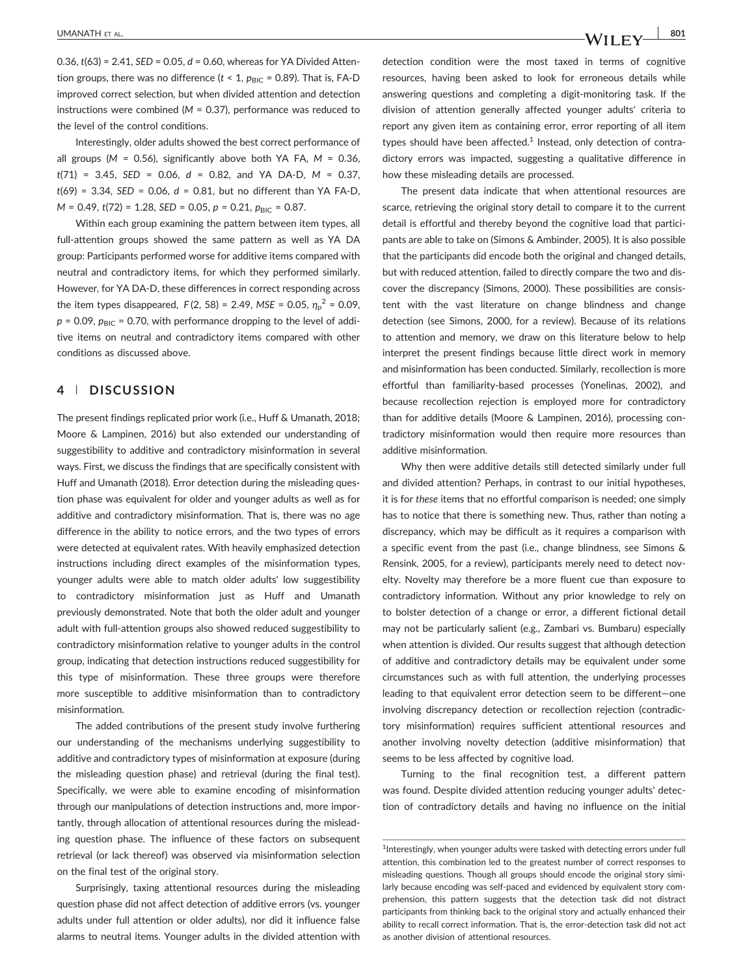0.36,  $t(63) = 2.41$ ,  $SED = 0.05$ ,  $d = 0.60$ , whereas for YA Divided Attention groups, there was no difference  $(t < 1, p_{\text{BIC}} = 0.89)$ . That is, FA-D improved correct selection, but when divided attention and detection instructions were combined ( $M = 0.37$ ), performance was reduced to the level of the control conditions.

Interestingly, older adults showed the best correct performance of all groups ( $M = 0.56$ ), significantly above both YA FA,  $M = 0.36$ ,  $t(71) = 3.45$ , SED = 0.06,  $d = 0.82$ , and YA DA-D,  $M = 0.37$ ,  $t(69) = 3.34$ , SED = 0.06,  $d = 0.81$ , but no different than YA FA-D,  $M = 0.49$ ,  $t(72) = 1.28$ ,  $SED = 0.05$ ,  $p = 0.21$ ,  $p<sub>BIC</sub> = 0.87$ .

Within each group examining the pattern between item types, all full-attention groups showed the same pattern as well as YA DA group: Participants performed worse for additive items compared with neutral and contradictory items, for which they performed similarly. However, for YA DA‐D, these differences in correct responding across the item types disappeared,  $F(2, 58) = 2.49$ , MSE = 0.05,  $\eta_p^2 = 0.09$ ,  $p = 0.09$ ,  $p_{BIC} = 0.70$ , with performance dropping to the level of additive items on neutral and contradictory items compared with other conditions as discussed above.

# 4 | DISCUSSION

The present findings replicated prior work (i.e., Huff & Umanath, 2018; Moore & Lampinen, 2016) but also extended our understanding of suggestibility to additive and contradictory misinformation in several ways. First, we discuss the findings that are specifically consistent with Huff and Umanath (2018). Error detection during the misleading question phase was equivalent for older and younger adults as well as for additive and contradictory misinformation. That is, there was no age difference in the ability to notice errors, and the two types of errors were detected at equivalent rates. With heavily emphasized detection instructions including direct examples of the misinformation types, younger adults were able to match older adults' low suggestibility to contradictory misinformation just as Huff and Umanath previously demonstrated. Note that both the older adult and younger adult with full‐attention groups also showed reduced suggestibility to contradictory misinformation relative to younger adults in the control group, indicating that detection instructions reduced suggestibility for this type of misinformation. These three groups were therefore more susceptible to additive misinformation than to contradictory misinformation.

The added contributions of the present study involve furthering our understanding of the mechanisms underlying suggestibility to additive and contradictory types of misinformation at exposure (during the misleading question phase) and retrieval (during the final test). Specifically, we were able to examine encoding of misinformation through our manipulations of detection instructions and, more importantly, through allocation of attentional resources during the misleading question phase. The influence of these factors on subsequent retrieval (or lack thereof) was observed via misinformation selection on the final test of the original story.

Surprisingly, taxing attentional resources during the misleading question phase did not affect detection of additive errors (vs. younger adults under full attention or older adults), nor did it influence false alarms to neutral items. Younger adults in the divided attention with

detection condition were the most taxed in terms of cognitive resources, having been asked to look for erroneous details while answering questions and completing a digit‐monitoring task. If the division of attention generally affected younger adults' criteria to report any given item as containing error, error reporting of all item types should have been affected. $1$  Instead, only detection of contradictory errors was impacted, suggesting a qualitative difference in how these misleading details are processed.

The present data indicate that when attentional resources are scarce, retrieving the original story detail to compare it to the current detail is effortful and thereby beyond the cognitive load that participants are able to take on (Simons & Ambinder, 2005). It is also possible that the participants did encode both the original and changed details, but with reduced attention, failed to directly compare the two and discover the discrepancy (Simons, 2000). These possibilities are consistent with the vast literature on change blindness and change detection (see Simons, 2000, for a review). Because of its relations to attention and memory, we draw on this literature below to help interpret the present findings because little direct work in memory and misinformation has been conducted. Similarly, recollection is more effortful than familiarity‐based processes (Yonelinas, 2002), and because recollection rejection is employed more for contradictory than for additive details (Moore & Lampinen, 2016), processing contradictory misinformation would then require more resources than additive misinformation.

Why then were additive details still detected similarly under full and divided attention? Perhaps, in contrast to our initial hypotheses, it is for these items that no effortful comparison is needed; one simply has to notice that there is something new. Thus, rather than noting a discrepancy, which may be difficult as it requires a comparison with a specific event from the past (i.e., change blindness, see Simons & Rensink, 2005, for a review), participants merely need to detect novelty. Novelty may therefore be a more fluent cue than exposure to contradictory information. Without any prior knowledge to rely on to bolster detection of a change or error, a different fictional detail may not be particularly salient (e.g., Zambari vs. Bumbaru) especially when attention is divided. Our results suggest that although detection of additive and contradictory details may be equivalent under some circumstances such as with full attention, the underlying processes leading to that equivalent error detection seem to be different—one involving discrepancy detection or recollection rejection (contradictory misinformation) requires sufficient attentional resources and another involving novelty detection (additive misinformation) that seems to be less affected by cognitive load.

Turning to the final recognition test, a different pattern was found. Despite divided attention reducing younger adults' detection of contradictory details and having no influence on the initial

<sup>&</sup>lt;sup>1</sup>Interestingly, when younger adults were tasked with detecting errors under full attention, this combination led to the greatest number of correct responses to misleading questions. Though all groups should encode the original story similarly because encoding was self-paced and evidenced by equivalent story comprehension, this pattern suggests that the detection task did not distract participants from thinking back to the original story and actually enhanced their ability to recall correct information. That is, the error-detection task did not act as another division of attentional resources.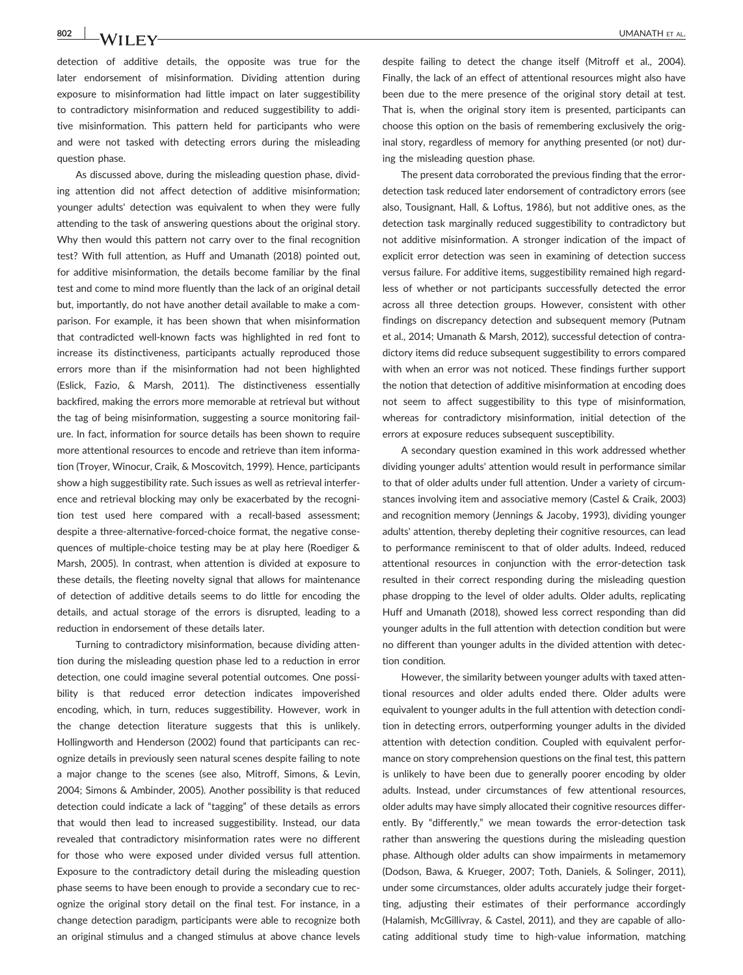detection of additive details, the opposite was true for the later endorsement of misinformation. Dividing attention during exposure to misinformation had little impact on later suggestibility to contradictory misinformation and reduced suggestibility to additive misinformation. This pattern held for participants who were and were not tasked with detecting errors during the misleading question phase.

As discussed above, during the misleading question phase, dividing attention did not affect detection of additive misinformation; younger adults' detection was equivalent to when they were fully attending to the task of answering questions about the original story. Why then would this pattern not carry over to the final recognition test? With full attention, as Huff and Umanath (2018) pointed out, for additive misinformation, the details become familiar by the final test and come to mind more fluently than the lack of an original detail but, importantly, do not have another detail available to make a comparison. For example, it has been shown that when misinformation that contradicted well‐known facts was highlighted in red font to increase its distinctiveness, participants actually reproduced those errors more than if the misinformation had not been highlighted (Eslick, Fazio, & Marsh, 2011). The distinctiveness essentially backfired, making the errors more memorable at retrieval but without the tag of being misinformation, suggesting a source monitoring failure. In fact, information for source details has been shown to require more attentional resources to encode and retrieve than item information (Troyer, Winocur, Craik, & Moscovitch, 1999). Hence, participants show a high suggestibility rate. Such issues as well as retrieval interference and retrieval blocking may only be exacerbated by the recognition test used here compared with a recall‐based assessment; despite a three‐alternative‐forced‐choice format, the negative consequences of multiple‐choice testing may be at play here (Roediger & Marsh, 2005). In contrast, when attention is divided at exposure to these details, the fleeting novelty signal that allows for maintenance of detection of additive details seems to do little for encoding the details, and actual storage of the errors is disrupted, leading to a reduction in endorsement of these details later.

Turning to contradictory misinformation, because dividing attention during the misleading question phase led to a reduction in error detection, one could imagine several potential outcomes. One possibility is that reduced error detection indicates impoverished encoding, which, in turn, reduces suggestibility. However, work in the change detection literature suggests that this is unlikely. Hollingworth and Henderson (2002) found that participants can recognize details in previously seen natural scenes despite failing to note a major change to the scenes (see also, Mitroff, Simons, & Levin, 2004; Simons & Ambinder, 2005). Another possibility is that reduced detection could indicate a lack of "tagging" of these details as errors that would then lead to increased suggestibility. Instead, our data revealed that contradictory misinformation rates were no different for those who were exposed under divided versus full attention. Exposure to the contradictory detail during the misleading question phase seems to have been enough to provide a secondary cue to recognize the original story detail on the final test. For instance, in a change detection paradigm, participants were able to recognize both an original stimulus and a changed stimulus at above chance levels despite failing to detect the change itself (Mitroff et al., 2004). Finally, the lack of an effect of attentional resources might also have been due to the mere presence of the original story detail at test. That is, when the original story item is presented, participants can choose this option on the basis of remembering exclusively the original story, regardless of memory for anything presented (or not) during the misleading question phase.

The present data corroborated the previous finding that the error‐ detection task reduced later endorsement of contradictory errors (see also, Tousignant, Hall, & Loftus, 1986), but not additive ones, as the detection task marginally reduced suggestibility to contradictory but not additive misinformation. A stronger indication of the impact of explicit error detection was seen in examining of detection success versus failure. For additive items, suggestibility remained high regardless of whether or not participants successfully detected the error across all three detection groups. However, consistent with other findings on discrepancy detection and subsequent memory (Putnam et al., 2014; Umanath & Marsh, 2012), successful detection of contradictory items did reduce subsequent suggestibility to errors compared with when an error was not noticed. These findings further support the notion that detection of additive misinformation at encoding does not seem to affect suggestibility to this type of misinformation, whereas for contradictory misinformation, initial detection of the errors at exposure reduces subsequent susceptibility.

A secondary question examined in this work addressed whether dividing younger adults' attention would result in performance similar to that of older adults under full attention. Under a variety of circumstances involving item and associative memory (Castel & Craik, 2003) and recognition memory (Jennings & Jacoby, 1993), dividing younger adults' attention, thereby depleting their cognitive resources, can lead to performance reminiscent to that of older adults. Indeed, reduced attentional resources in conjunction with the error‐detection task resulted in their correct responding during the misleading question phase dropping to the level of older adults. Older adults, replicating Huff and Umanath (2018), showed less correct responding than did younger adults in the full attention with detection condition but were no different than younger adults in the divided attention with detection condition.

However, the similarity between younger adults with taxed attentional resources and older adults ended there. Older adults were equivalent to younger adults in the full attention with detection condition in detecting errors, outperforming younger adults in the divided attention with detection condition. Coupled with equivalent performance on story comprehension questions on the final test, this pattern is unlikely to have been due to generally poorer encoding by older adults. Instead, under circumstances of few attentional resources, older adults may have simply allocated their cognitive resources differently. By "differently," we mean towards the error-detection task rather than answering the questions during the misleading question phase. Although older adults can show impairments in metamemory (Dodson, Bawa, & Krueger, 2007; Toth, Daniels, & Solinger, 2011), under some circumstances, older adults accurately judge their forgetting, adjusting their estimates of their performance accordingly (Halamish, McGillivray, & Castel, 2011), and they are capable of allocating additional study time to high‐value information, matching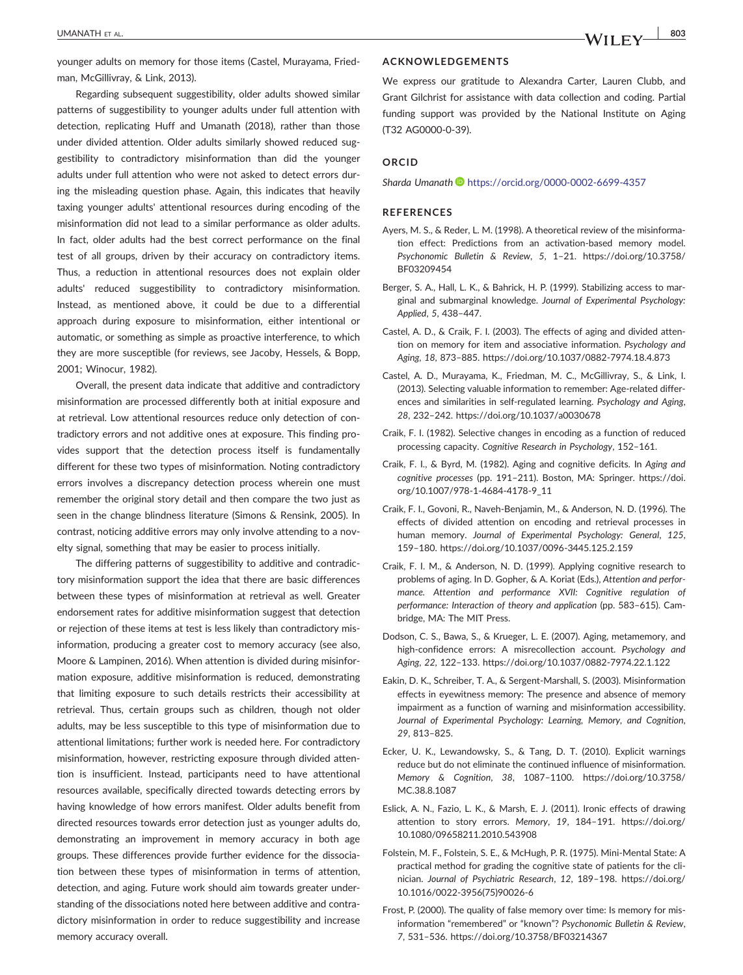younger adults on memory for those items (Castel, Murayama, Friedman, McGillivray, & Link, 2013).

Regarding subsequent suggestibility, older adults showed similar patterns of suggestibility to younger adults under full attention with detection, replicating Huff and Umanath (2018), rather than those under divided attention. Older adults similarly showed reduced suggestibility to contradictory misinformation than did the younger adults under full attention who were not asked to detect errors during the misleading question phase. Again, this indicates that heavily taxing younger adults' attentional resources during encoding of the misinformation did not lead to a similar performance as older adults. In fact, older adults had the best correct performance on the final test of all groups, driven by their accuracy on contradictory items. Thus, a reduction in attentional resources does not explain older adults' reduced suggestibility to contradictory misinformation. Instead, as mentioned above, it could be due to a differential approach during exposure to misinformation, either intentional or automatic, or something as simple as proactive interference, to which they are more susceptible (for reviews, see Jacoby, Hessels, & Bopp, 2001; Winocur, 1982).

Overall, the present data indicate that additive and contradictory misinformation are processed differently both at initial exposure and at retrieval. Low attentional resources reduce only detection of contradictory errors and not additive ones at exposure. This finding provides support that the detection process itself is fundamentally different for these two types of misinformation. Noting contradictory errors involves a discrepancy detection process wherein one must remember the original story detail and then compare the two just as seen in the change blindness literature (Simons & Rensink, 2005). In contrast, noticing additive errors may only involve attending to a novelty signal, something that may be easier to process initially.

The differing patterns of suggestibility to additive and contradictory misinformation support the idea that there are basic differences between these types of misinformation at retrieval as well. Greater endorsement rates for additive misinformation suggest that detection or rejection of these items at test is less likely than contradictory misinformation, producing a greater cost to memory accuracy (see also, Moore & Lampinen, 2016). When attention is divided during misinformation exposure, additive misinformation is reduced, demonstrating that limiting exposure to such details restricts their accessibility at retrieval. Thus, certain groups such as children, though not older adults, may be less susceptible to this type of misinformation due to attentional limitations; further work is needed here. For contradictory misinformation, however, restricting exposure through divided attention is insufficient. Instead, participants need to have attentional resources available, specifically directed towards detecting errors by having knowledge of how errors manifest. Older adults benefit from directed resources towards error detection just as younger adults do, demonstrating an improvement in memory accuracy in both age groups. These differences provide further evidence for the dissociation between these types of misinformation in terms of attention, detection, and aging. Future work should aim towards greater understanding of the dissociations noted here between additive and contradictory misinformation in order to reduce suggestibility and increase memory accuracy overall.

# ACKNOWLEDGEMENTS

We express our gratitude to Alexandra Carter, Lauren Clubb, and Grant Gilchrist for assistance with data collection and coding. Partial funding support was provided by the National Institute on Aging (T32 AG0000‐0‐39).

#### ORCID

Sharda Umanath <https://orcid.org/0000-0002-6699-4357>

#### REFERENCES

- Ayers, M. S., & Reder, L. M. (1998). A theoretical review of the misinformation effect: Predictions from an activation‐based memory model. Psychonomic Bulletin & Review, 5, 1–21. [https://doi.org/10.3758/](https://doi.org/10.3758/BF03209454) [BF03209454](https://doi.org/10.3758/BF03209454)
- Berger, S. A., Hall, L. K., & Bahrick, H. P. (1999). Stabilizing access to marginal and submarginal knowledge. Journal of Experimental Psychology: Applied, 5, 438–447.
- Castel, A. D., & Craik, F. I. (2003). The effects of aging and divided attention on memory for item and associative information. Psychology and Aging, 18, 873–885. [https://doi.org/10.1037/0882](https://doi.org/10.1037/0882-7974.18.4.873)‐7974.18.4.873
- Castel, A. D., Murayama, K., Friedman, M. C., McGillivray, S., & Link, I. (2013). Selecting valuable information to remember: Age-related differences and similarities in self‐regulated learning. Psychology and Aging, 28, 232–242.<https://doi.org/10.1037/a0030678>
- Craik, F. I. (1982). Selective changes in encoding as a function of reduced processing capacity. Cognitive Research in Psychology, 152–161.
- Craik, F. I., & Byrd, M. (1982). Aging and cognitive deficits. In Aging and cognitive processes (pp. 191–211). Boston, MA: Springer. [https://doi.](https://doi.org/10.1007/978-1-4684-4178-9_11) [org/10.1007/978](https://doi.org/10.1007/978-1-4684-4178-9_11)‐1‐4684‐4178‐9\_11
- Craik, F. I., Govoni, R., Naveh‐Benjamin, M., & Anderson, N. D. (1996). The effects of divided attention on encoding and retrieval processes in human memory. Journal of Experimental Psychology: General, 125, 159–180. [https://doi.org/10.1037/0096](https://doi.org/10.1037/0096-3445.125.2.159)‐3445.125.2.159
- Craik, F. I. M., & Anderson, N. D. (1999). Applying cognitive research to problems of aging. In D. Gopher, & A. Koriat (Eds.), Attention and performance. Attention and performance XVII: Cognitive regulation of performance: Interaction of theory and application (pp. 583–615). Cambridge, MA: The MIT Press.
- Dodson, C. S., Bawa, S., & Krueger, L. E. (2007). Aging, metamemory, and high-confidence errors: A misrecollection account. Psychology and Aging, 22, 122–133. [https://doi.org/10.1037/0882](https://doi.org/10.1037/0882-7974.22.1.122)‐7974.22.1.122
- Eakin, D. K., Schreiber, T. A., & Sergent‐Marshall, S. (2003). Misinformation effects in eyewitness memory: The presence and absence of memory impairment as a function of warning and misinformation accessibility. Journal of Experimental Psychology: Learning, Memory, and Cognition, 29, 813–825.
- Ecker, U. K., Lewandowsky, S., & Tang, D. T. (2010). Explicit warnings reduce but do not eliminate the continued influence of misinformation. Memory & Cognition, 38, 1087–1100. [https://doi.org/10.3758/](https://doi.org/10.3758/MC.38.8.1087) [MC.38.8.1087](https://doi.org/10.3758/MC.38.8.1087)
- Eslick, A. N., Fazio, L. K., & Marsh, E. J. (2011). Ironic effects of drawing attention to story errors. Memory, 19, 184–191. [https://doi.org/](https://doi.org/10.1080/09658211.2010.543908) [10.1080/09658211.2010.543908](https://doi.org/10.1080/09658211.2010.543908)
- Folstein, M. F., Folstein, S. E., & McHugh, P. R. (1975). Mini‐Mental State: A practical method for grading the cognitive state of patients for the clinician. Journal of Psychiatric Research, 12, 189–198. [https://doi.org/](https://doi.org/10.1016/0022-3956(75)90026-6) 10.1016/0022‐[3956\(75\)90026](https://doi.org/10.1016/0022-3956(75)90026-6)‐6
- Frost, P. (2000). The quality of false memory over time: Is memory for misinformation "remembered" or "known"? Psychonomic Bulletin & Review, 7, 531–536.<https://doi.org/10.3758/BF03214367>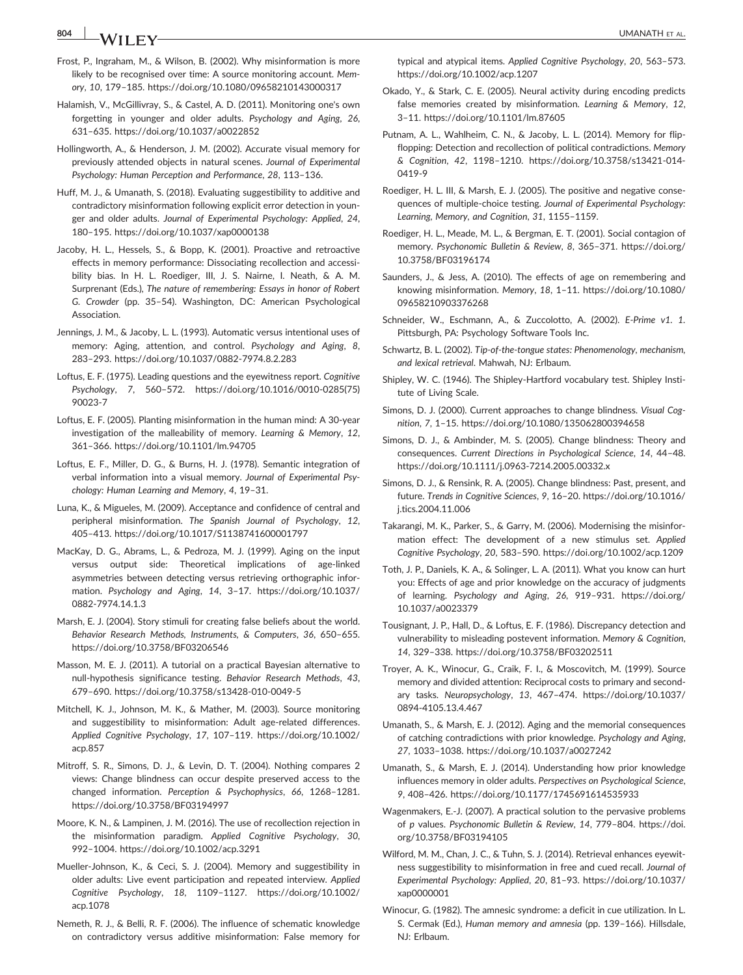# 804 NA/TT FX

- Frost, P., Ingraham, M., & Wilson, B. (2002). Why misinformation is more likely to be recognised over time: A source monitoring account. Memory, 10, 179–185.<https://doi.org/10.1080/09658210143000317>
- Halamish, V., McGillivray, S., & Castel, A. D. (2011). Monitoring one's own forgetting in younger and older adults. Psychology and Aging, 26, 631–635.<https://doi.org/10.1037/a0022852>
- Hollingworth, A., & Henderson, J. M. (2002). Accurate visual memory for previously attended objects in natural scenes. Journal of Experimental Psychology: Human Perception and Performance, 28, 113–136.
- Huff, M. J., & Umanath, S. (2018). Evaluating suggestibility to additive and contradictory misinformation following explicit error detection in younger and older adults. Journal of Experimental Psychology: Applied, 24, 180–195.<https://doi.org/10.1037/xap0000138>
- Jacoby, H. L., Hessels, S., & Bopp, K. (2001). Proactive and retroactive effects in memory performance: Dissociating recollection and accessibility bias. In H. L. Roediger, III, J. S. Nairne, I. Neath, & A. M. Surprenant (Eds.), The nature of remembering: Essays in honor of Robert G. Crowder (pp. 35–54). Washington, DC: American Psychological Association.
- Jennings, J. M., & Jacoby, L. L. (1993). Automatic versus intentional uses of memory: Aging, attention, and control. Psychology and Aging, 8, 283–293. [https://doi.org/10.1037/0882](https://doi.org/10.1037/0882-7974.8.2.283)‐7974.8.2.283
- Loftus, E. F. (1975). Leading questions and the eyewitness report. Cognitive Psychology, 7, 560–572. [https://doi.org/10.1016/0010](https://doi.org/10.1016/0010-0285(75)90023-7)‐0285(75) [90023](https://doi.org/10.1016/0010-0285(75)90023-7)‐7
- Loftus, E. F. (2005). Planting misinformation in the human mind: A 30‐year investigation of the malleability of memory. Learning & Memory, 12, 361–366.<https://doi.org/10.1101/lm.94705>
- Loftus, E. F., Miller, D. G., & Burns, H. J. (1978). Semantic integration of verbal information into a visual memory. Journal of Experimental Psychology: Human Learning and Memory, 4, 19–31.
- Luna, K., & Migueles, M. (2009). Acceptance and confidence of central and peripheral misinformation. The Spanish Journal of Psychology, 12, 405–413.<https://doi.org/10.1017/S1138741600001797>
- MacKay, D. G., Abrams, L., & Pedroza, M. J. (1999). Aging on the input versus output side: Theoretical implications of age‐linked asymmetries between detecting versus retrieving orthographic information. Psychology and Aging, 14, 3–17. [https://doi.org/10.1037/](https://doi.org/10.1037/0882-7974.14.1.3) 0882‐[7974.14.1.3](https://doi.org/10.1037/0882-7974.14.1.3)
- Marsh, E. J. (2004). Story stimuli for creating false beliefs about the world. Behavior Research Methods, Instruments, & Computers, 36, 650–655. <https://doi.org/10.3758/BF03206546>
- Masson, M. E. J. (2011). A tutorial on a practical Bayesian alternative to null‐hypothesis significance testing. Behavior Research Methods, 43, 679–690. [https://doi.org/10.3758/s13428](https://doi.org/10.3758/s13428-010-0049-5)‐010‐0049‐5
- Mitchell, K. J., Johnson, M. K., & Mather, M. (2003). Source monitoring and suggestibility to misinformation: Adult age-related differences. Applied Cognitive Psychology, 17, 107–119. [https://doi.org/10.1002/](https://doi.org/10.1002/acp.857) [acp.857](https://doi.org/10.1002/acp.857)
- Mitroff, S. R., Simons, D. J., & Levin, D. T. (2004). Nothing compares 2 views: Change blindness can occur despite preserved access to the changed information. Perception & Psychophysics, 66, 1268–1281. <https://doi.org/10.3758/BF03194997>
- Moore, K. N., & Lampinen, J. M. (2016). The use of recollection rejection in the misinformation paradigm. Applied Cognitive Psychology, 30, 992–1004.<https://doi.org/10.1002/acp.3291>
- Mueller‐Johnson, K., & Ceci, S. J. (2004). Memory and suggestibility in older adults: Live event participation and repeated interview. Applied Cognitive Psychology, 18, 1109–1127. [https://doi.org/10.1002/](https://doi.org/10.1002/acp.1078) [acp.1078](https://doi.org/10.1002/acp.1078)
- Nemeth, R. J., & Belli, R. F. (2006). The influence of schematic knowledge on contradictory versus additive misinformation: False memory for

typical and atypical items. Applied Cognitive Psychology, 20, 563–573. <https://doi.org/10.1002/acp.1207>

- Okado, Y., & Stark, C. E. (2005). Neural activity during encoding predicts false memories created by misinformation. Learning & Memory, 12, 3–11.<https://doi.org/10.1101/lm.87605>
- Putnam, A. L., Wahlheim, C. N., & Jacoby, L. L. (2014). Memory for flipflopping: Detection and recollection of political contradictions. Memory & Cognition, 42, 1198–1210. [https://doi.org/10.3758/s13421](https://doi.org/10.3758/s13421-014-0419-9)‐014‐ [0419](https://doi.org/10.3758/s13421-014-0419-9)‐9
- Roediger, H. L. III, & Marsh, E. J. (2005). The positive and negative consequences of multiple‐choice testing. Journal of Experimental Psychology: Learning, Memory, and Cognition, 31, 1155–1159.
- Roediger, H. L., Meade, M. L., & Bergman, E. T. (2001). Social contagion of memory. Psychonomic Bulletin & Review, 8, 365–371. [https://doi.org/](https://doi.org/10.3758/BF03196174) [10.3758/BF03196174](https://doi.org/10.3758/BF03196174)
- Saunders, J., & Jess, A. (2010). The effects of age on remembering and knowing misinformation. Memory, 18, 1–11. [https://doi.org/10.1080/](https://doi.org/10.1080/09658210903376268) [09658210903376268](https://doi.org/10.1080/09658210903376268)
- Schneider, W., Eschmann, A., & Zuccolotto, A. (2002). E-Prime v1. 1. Pittsburgh, PA: Psychology Software Tools Inc.
- Schwartz, B. L. (2002). Tip‐of‐the‐tongue states: Phenomenology, mechanism, and lexical retrieval. Mahwah, NJ: Erlbaum.
- Shipley, W. C. (1946). The Shipley‐Hartford vocabulary test. Shipley Institute of Living Scale.
- Simons, D. J. (2000). Current approaches to change blindness. Visual Cognition, 7, 1–15.<https://doi.org/10.1080/135062800394658>
- Simons, D. J., & Ambinder, M. S. (2005). Change blindness: Theory and consequences. Current Directions in Psychological Science, 14, 44–48. [https://doi.org/10.1111/j.0963](https://doi.org/10.1111/j.0963-7214.2005.00332.x)‐7214.2005.00332.x
- Simons, D. J., & Rensink, R. A. (2005). Change blindness: Past, present, and future. Trends in Cognitive Sciences, 9, 16–20. [https://doi.org/10.1016/](https://doi.org/10.1016/j.tics.2004.11.006) [j.tics.2004.11.006](https://doi.org/10.1016/j.tics.2004.11.006)
- Takarangi, M. K., Parker, S., & Garry, M. (2006). Modernising the misinformation effect: The development of a new stimulus set. Applied Cognitive Psychology, 20, 583–590.<https://doi.org/10.1002/acp.1209>
- Toth, J. P., Daniels, K. A., & Solinger, L. A. (2011). What you know can hurt you: Effects of age and prior knowledge on the accuracy of judgments of learning. Psychology and Aging, 26, 919–931. [https://doi.org/](https://doi.org/10.1037/a0023379) [10.1037/a0023379](https://doi.org/10.1037/a0023379)
- Tousignant, J. P., Hall, D., & Loftus, E. F. (1986). Discrepancy detection and vulnerability to misleading postevent information. Memory & Cognition, 14, 329–338.<https://doi.org/10.3758/BF03202511>
- Troyer, A. K., Winocur, G., Craik, F. I., & Moscovitch, M. (1999). Source memory and divided attention: Reciprocal costs to primary and secondary tasks. Neuropsychology, 13, 467–474. [https://doi.org/10.1037/](https://doi.org/10.1037/0894-4105.13.4.467) 0894‐[4105.13.4.467](https://doi.org/10.1037/0894-4105.13.4.467)
- Umanath, S., & Marsh, E. J. (2012). Aging and the memorial consequences of catching contradictions with prior knowledge. Psychology and Aging, 27, 1033–1038.<https://doi.org/10.1037/a0027242>
- Umanath, S., & Marsh, E. J. (2014). Understanding how prior knowledge influences memory in older adults. Perspectives on Psychological Science, 9, 408–426.<https://doi.org/10.1177/1745691614535933>
- Wagenmakers, E.‐J. (2007). A practical solution to the pervasive problems of p values. Psychonomic Bulletin & Review, 14, 779–804. [https://doi.](https://doi.org/10.3758/BF03194105) [org/10.3758/BF03194105](https://doi.org/10.3758/BF03194105)
- Wilford, M. M., Chan, J. C., & Tuhn, S. J. (2014). Retrieval enhances eyewitness suggestibility to misinformation in free and cued recall. Journal of Experimental Psychology: Applied, 20, 81–93. [https://doi.org/10.1037/](https://doi.org/10.1037/xap0000001) [xap0000001](https://doi.org/10.1037/xap0000001)
- Winocur, G. (1982). The amnesic syndrome: a deficit in cue utilization. In L. S. Cermak (Ed.), Human memory and amnesia (pp. 139–166). Hillsdale, NJ: Erlbaum.